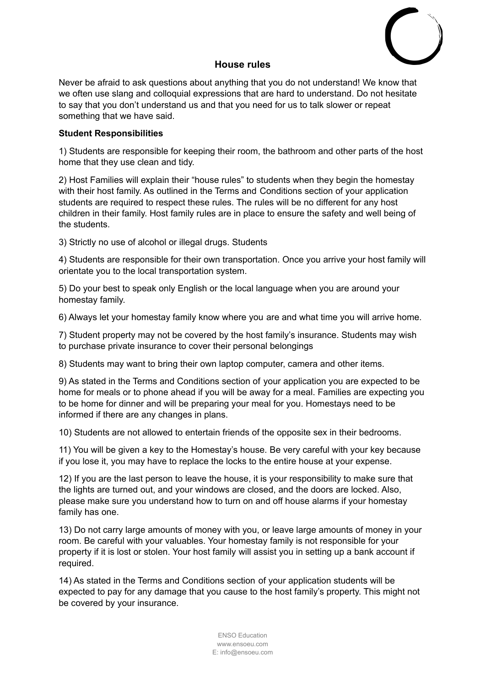

## **House rules**

Never be afraid to ask questions about anything that you do not understand! We know that we often use slang and colloquial expressions that are hard to understand. Do not hesitate to say that you don't understand us and that you need for us to talk slower or repeat something that we have said.

## **Student Responsibilities**

1) Students are responsible for keeping their room, the bathroom and other parts of the host home that they use clean and tidy.

2) Host Families will explain their "house rules" to students when they begin the homestay with their host family. As outlined in the Terms and Conditions section of your application students are required to respect these rules. The rules will be no different for any host children in their family. Host family rules are in place to ensure the safety and well being of the students.

3) Strictly no use of alcohol or illegal drugs. Students

4) Students are responsible for their own transportation. Once you arrive your host family will orientate you to the local transportation system.

5) Do your best to speak only English or the local language when you are around your homestay family.

6) Always let your homestay family know where you are and what time you will arrive home.

7) Student property may not be covered by the host family's insurance. Students may wish to purchase private insurance to cover their personal belongings

8) Students may want to bring their own laptop computer, camera and other items.

9) As stated in the Terms and Conditions section of your application you are expected to be home for meals or to phone ahead if you will be away for a meal. Families are expecting you to be home for dinner and will be preparing your meal for you. Homestays need to be informed if there are any changes in plans.

10) Students are not allowed to entertain friends of the opposite sex in their bedrooms.

11) You will be given a key to the Homestay's house. Be very careful with your key because if you lose it, you may have to replace the locks to the entire house at your expense.

12) If you are the last person to leave the house, it is your responsibility to make sure that the lights are turned out, and your windows are closed, and the doors are locked. Also, please make sure you understand how to turn on and off house alarms if your homestay family has one.

13) Do not carry large amounts of money with you, or leave large amounts of money in your room. Be careful with your valuables. Your homestay family is not responsible for your property if it is lost or stolen. Your host family will assist you in setting up a bank account if required.

14) As stated in the Terms and Conditions section of your application students will be expected to pay for any damage that you cause to the host family's property. This might not be covered by your insurance.

> ENSO Education www.ensoeu.com E: info@ensoeu.com